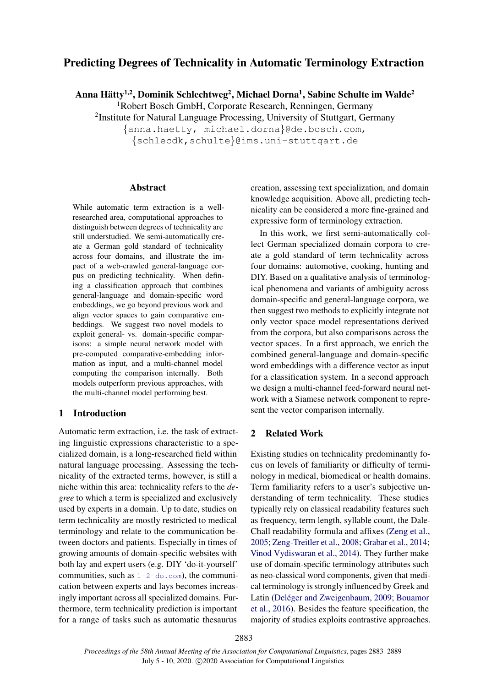# Predicting Degrees of Technicality in Automatic Terminology Extraction

Anna Hätty $^{1,2}$ , Dominik Schlechtweg $^{2}$ , Michael Dorna $^{1}$ , Sabine Schulte im Walde $^{2}$ 

<sup>1</sup>Robert Bosch GmbH, Corporate Research, Renningen, Germany

<sup>2</sup>Institute for Natural Language Processing, University of Stuttgart, Germany

{anna.haetty, michael.dorna}@de.bosch.com, {schlecdk,schulte}@ims.uni-stuttgart.de

#### Abstract

While automatic term extraction is a wellresearched area, computational approaches to distinguish between degrees of technicality are still understudied. We semi-automatically create a German gold standard of technicality across four domains, and illustrate the impact of a web-crawled general-language corpus on predicting technicality. When defining a classification approach that combines general-language and domain-specific word embeddings, we go beyond previous work and align vector spaces to gain comparative embeddings. We suggest two novel models to exploit general- vs. domain-specific comparisons: a simple neural network model with pre-computed comparative-embedding information as input, and a multi-channel model computing the comparison internally. Both models outperform previous approaches, with the multi-channel model performing best.

# 1 Introduction

Automatic term extraction, i.e. the task of extracting linguistic expressions characteristic to a specialized domain, is a long-researched field within natural language processing. Assessing the technicality of the extracted terms, however, is still a niche within this area: technicality refers to the *degree* to which a term is specialized and exclusively used by experts in a domain. Up to date, studies on term technicality are mostly restricted to medical terminology and relate to the communication between doctors and patients. Especially in times of growing amounts of domain-specific websites with both lay and expert users (e.g. DIY 'do-it-yourself' communities, such as  $1-2-d\circ$ .com), the communication between experts and lays becomes increasingly important across all specialized domains. Furthermore, term technicality prediction is important for a range of tasks such as automatic thesaurus

creation, assessing text specialization, and domain knowledge acquisition. Above all, predicting technicality can be considered a more fine-grained and expressive form of terminology extraction.

In this work, we first semi-automatically collect German specialized domain corpora to create a gold standard of term technicality across four domains: automotive, cooking, hunting and DIY. Based on a qualitative analysis of terminological phenomena and variants of ambiguity across domain-specific and general-language corpora, we then suggest two methods to explicitly integrate not only vector space model representations derived from the corpora, but also comparisons across the vector spaces. In a first approach, we enrich the combined general-language and domain-specific word embeddings with a difference vector as input for a classification system. In a second approach we design a multi-channel feed-forward neural network with a Siamese network component to represent the vector comparison internally.

## 2 Related Work

Existing studies on technicality predominantly focus on levels of familiarity or difficulty of terminology in medical, biomedical or health domains. Term familiarity refers to a user's subjective understanding of term technicality. These studies typically rely on classical readability features such as frequency, term length, syllable count, the Dale-Chall readability formula and affixes [\(Zeng et al.,](#page-6-0) [2005;](#page-6-0) [Zeng-Treitler et al.,](#page-6-1) [2008;](#page-6-1) [Grabar et al.,](#page-5-0) [2014;](#page-5-0) [Vinod Vydiswaran et al.,](#page-6-2) [2014\)](#page-6-2). They further make use of domain-specific terminology attributes such as neo-classical word components, given that medical terminology is strongly influenced by Greek and Latin (Deléger and Zweigenbaum, [2009;](#page-5-1) [Bouamor](#page-5-2) [et al.,](#page-5-2) [2016\)](#page-5-2). Besides the feature specification, the majority of studies exploits contrastive approaches.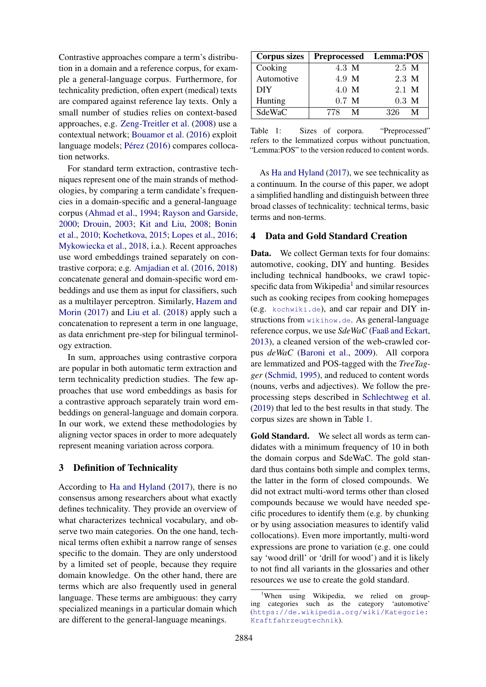Contrastive approaches compare a term's distribution in a domain and a reference corpus, for example a general-language corpus. Furthermore, for technicality prediction, often expert (medical) texts are compared against reference lay texts. Only a small number of studies relies on context-based approaches, e.g. [Zeng-Treitler et al.](#page-6-1) [\(2008\)](#page-6-1) use a contextual network; [Bouamor et al.](#page-5-2) [\(2016\)](#page-5-2) exploit language models; Pérez [\(2016\)](#page-6-3) compares collocation networks.

For standard term extraction, contrastive techniques represent one of the main strands of methodologies, by comparing a term candidate's frequencies in a domain-specific and a general-language corpus [\(Ahmad et al.,](#page-5-3) [1994;](#page-5-3) [Rayson and Garside,](#page-6-4) [2000;](#page-6-4) [Drouin,](#page-5-4) [2003;](#page-5-4) [Kit and Liu,](#page-5-5) [2008;](#page-5-5) [Bonin](#page-5-6) [et al.,](#page-5-6) [2010;](#page-5-6) [Kochetkova,](#page-5-7) [2015;](#page-5-7) [Lopes et al.,](#page-5-8) [2016;](#page-5-8) [Mykowiecka et al.,](#page-6-5) [2018,](#page-6-5) i.a.). Recent approaches use word embeddings trained separately on contrastive corpora; e.g. [Amjadian et al.](#page-5-9) [\(2016,](#page-5-9) [2018\)](#page-5-10) concatenate general and domain-specific word embeddings and use them as input for classifiers, such as a multilayer perceptron. Similarly, [Hazem and](#page-5-11) [Morin](#page-5-11) [\(2017\)](#page-5-11) and [Liu et al.](#page-5-12) [\(2018\)](#page-5-12) apply such a concatenation to represent a term in one language, as data enrichment pre-step for bilingual terminology extraction.

In sum, approaches using contrastive corpora are popular in both automatic term extraction and term technicality prediction studies. The few approaches that use word embeddings as basis for a contrastive approach separately train word embeddings on general-language and domain corpora. In our work, we extend these methodologies by aligning vector spaces in order to more adequately represent meaning variation across corpora.

# 3 Definition of Technicality

According to [Ha and Hyland](#page-5-13) [\(2017\)](#page-5-13), there is no consensus among researchers about what exactly defines technicality. They provide an overview of what characterizes technical vocabulary, and observe two main categories. On the one hand, technical terms often exhibit a narrow range of senses specific to the domain. They are only understood by a limited set of people, because they require domain knowledge. On the other hand, there are terms which are also frequently used in general language. These terms are ambiguous: they carry specialized meanings in a particular domain which are different to the general-language meanings.

<span id="page-1-1"></span>

| <b>Corpus sizes</b> | Preprocessed Lemma:POS |                 |
|---------------------|------------------------|-----------------|
| Cooking             | 4.3 M                  | 2.5 M           |
| Automotive          | 4.9 M                  | 2.3 M           |
| <b>DIY</b>          | 4.0 M                  | 2.1 M           |
| Hunting             | $0.7$ M                | $0.3 \text{ M}$ |
| SdeWaC              | 778 M                  | 326<br>M        |

Table 1: Sizes of corpora. "Preprocessed" refers to the lemmatized corpus without punctuation, "Lemma:POS" to the version reduced to content words.

As [Ha and Hyland](#page-5-13) [\(2017\)](#page-5-13), we see technicality as a continuum. In the course of this paper, we adopt a simplified handling and distinguish between three broad classes of technicality: technical terms, basic terms and non-terms.

## 4 Data and Gold Standard Creation

Data. We collect German texts for four domains: automotive, cooking, DIY and hunting. Besides including technical handbooks, we crawl topic-specific data from Wikipedia<sup>[1](#page-1-0)</sup> and similar resources such as cooking recipes from cooking homepages (e.g. <kochwiki.de>), and car repair and DIY instructions from <wikihow.de>. As general-language reference corpus, we use *SdeWaC* [\(Faaß and Eckart,](#page-5-14) [2013\)](#page-5-14), a cleaned version of the web-crawled corpus *deWaC* [\(Baroni et al.,](#page-5-15) [2009\)](#page-5-15). All corpora are lemmatized and POS-tagged with the *TreeTagger* [\(Schmid,](#page-6-6) [1995\)](#page-6-6), and reduced to content words (nouns, verbs and adjectives). We follow the preprocessing steps described in [Schlechtweg et al.](#page-6-7) [\(2019\)](#page-6-7) that led to the best results in that study. The corpus sizes are shown in Table [1.](#page-1-1)

Gold Standard. We select all words as term candidates with a minimum frequency of 10 in both the domain corpus and SdeWaC. The gold standard thus contains both simple and complex terms, the latter in the form of closed compounds. We did not extract multi-word terms other than closed compounds because we would have needed specific procedures to identify them (e.g. by chunking or by using association measures to identify valid collocations). Even more importantly, multi-word expressions are prone to variation (e.g. one could say 'wood drill' or 'drill for wood') and it is likely to not find all variants in the glossaries and other resources we use to create the gold standard.

<span id="page-1-0"></span><sup>&</sup>lt;sup>1</sup>When using Wikipedia, we relied on grouping categories such as the category 'automotive' ([https://de.wikipedia.org/wiki/Kategorie:](https://de.wikipedia.org/wiki/Kategorie:Kraftfahrzeugtechnik) [Kraftfahrzeugtechnik](https://de.wikipedia.org/wiki/Kategorie:Kraftfahrzeugtechnik)).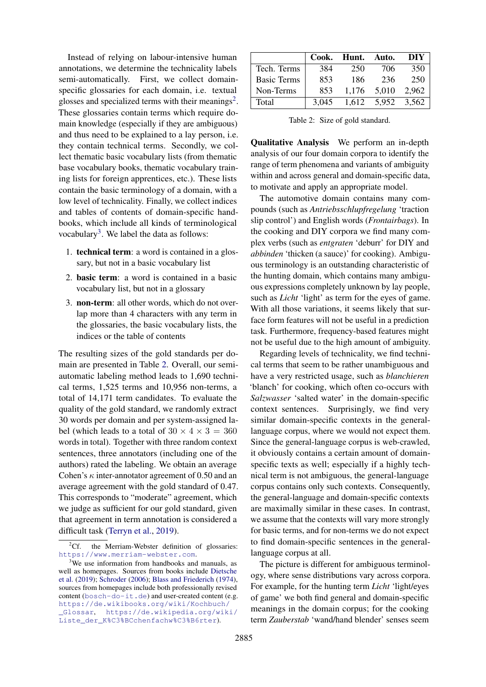Instead of relying on labour-intensive human annotations, we determine the technicality labels semi-automatically. First, we collect domainspecific glossaries for each domain, i.e. textual glosses and specialized terms with their meanings<sup>[2](#page-2-0)</sup>. These glossaries contain terms which require domain knowledge (especially if they are ambiguous) and thus need to be explained to a lay person, i.e. they contain technical terms. Secondly, we collect thematic basic vocabulary lists (from thematic base vocabulary books, thematic vocabulary training lists for foreign apprentices, etc.). These lists contain the basic terminology of a domain, with a low level of technicality. Finally, we collect indices and tables of contents of domain-specific handbooks, which include all kinds of terminological vocabulary<sup>[3](#page-2-1)</sup>. We label the data as follows:

- 1. technical term: a word is contained in a glossary, but not in a basic vocabulary list
- 2. basic term: a word is contained in a basic vocabulary list, but not in a glossary
- 3. non-term: all other words, which do not overlap more than 4 characters with any term in the glossaries, the basic vocabulary lists, the indices or the table of contents

The resulting sizes of the gold standards per domain are presented in Table [2.](#page-2-2) Overall, our semiautomatic labeling method leads to 1,690 technical terms, 1,525 terms and 10,956 non-terms, a total of 14,171 term candidates. To evaluate the quality of the gold standard, we randomly extract 30 words per domain and per system-assigned label (which leads to a total of  $30 \times 4 \times 3 = 360$ words in total). Together with three random context sentences, three annotators (including one of the authors) rated the labeling. We obtain an average Cohen's  $\kappa$  inter-annotator agreement of 0.50 and an average agreement with the gold standard of 0.47. This corresponds to "moderate" agreement, which we judge as sufficient for our gold standard, given that agreement in term annotation is considered a difficult task [\(Terryn et al.,](#page-6-8) [2019\)](#page-6-8).

<span id="page-2-2"></span>

|                    | Cook. | Hunt. | Auto. | DIY   |
|--------------------|-------|-------|-------|-------|
| Tech. Terms        | 384   | 250   | 706   | 350   |
| <b>Basic Terms</b> | 853   | 186   | 236   | 250   |
| Non-Terms          | 853   | 1,176 | 5,010 | 2.962 |
| Total              | 3.045 | 1.612 | 5.952 | 3,562 |

Table 2: Size of gold standard.

Qualitative Analysis We perform an in-depth analysis of our four domain corpora to identify the range of term phenomena and variants of ambiguity within and across general and domain-specific data, to motivate and apply an appropriate model.

The automotive domain contains many compounds (such as *Antriebsschlupfregelung* 'traction slip control') and English words (*Frontairbags*). In the cooking and DIY corpora we find many complex verbs (such as *entgraten* 'deburr' for DIY and *abbinden* 'thicken (a sauce)' for cooking). Ambiguous terminology is an outstanding characteristic of the hunting domain, which contains many ambiguous expressions completely unknown by lay people, such as *Licht* 'light' as term for the eyes of game. With all those variations, it seems likely that surface form features will not be useful in a prediction task. Furthermore, frequency-based features might not be useful due to the high amount of ambiguity.

Regarding levels of technicality, we find technical terms that seem to be rather unambiguous and have a very restricted usage, such as *blanchieren* 'blanch' for cooking, which often co-occurs with *Salzwasser* 'salted water' in the domain-specific context sentences. Surprisingly, we find very similar domain-specific contexts in the generallanguage corpus, where we would not expect them. Since the general-language corpus is web-crawled, it obviously contains a certain amount of domainspecific texts as well; especially if a highly technical term is not ambiguous, the general-language corpus contains only such contexts. Consequently, the general-language and domain-specific contexts are maximally similar in these cases. In contrast, we assume that the contexts will vary more strongly for basic terms, and for non-terms we do not expect to find domain-specific sentences in the generallanguage corpus at all.

The picture is different for ambiguous terminology, where sense distributions vary across corpora. For example, for the hunting term *Licht* 'light/eyes of game' we both find general and domain-specific meanings in the domain corpus; for the cooking term *Zauberstab* 'wand/hand blender' senses seem

<span id="page-2-0"></span><sup>&</sup>lt;sup>2</sup>Cf. the Merriam-Webster definition of glossaries: <https://www.merriam-webster.com>.

<span id="page-2-1"></span><sup>&</sup>lt;sup>3</sup>We use information from handbooks and manuals, as well as homepages. Sources from books include [Dietsche](#page-5-16) [et al.](#page-5-16) [\(2019\)](#page-5-16); [Schroder](#page-6-9) [\(2006\)](#page-6-9); [Blass and Friederich](#page-5-17) [\(1974\)](#page-5-17), sources from homepages include both professionally revised content (<bosch-do-it.de>) and user-created content (e.g. [https://de.wikibooks.org/wiki/Kochbuch/](https://de.wikibooks.org/wiki/Kochbuch/_Glossar) [\\_Glossar](https://de.wikibooks.org/wiki/Kochbuch/_Glossar), [https://de.wikipedia.org/wiki/](https://de.wikipedia.org/wiki/Liste_der_K%C3%BCchenfachw%C3%B6rter) [Liste\\_der\\_K%C3%BCchenfachw%C3%B6rter](https://de.wikipedia.org/wiki/Liste_der_K%C3%BCchenfachw%C3%B6rter)).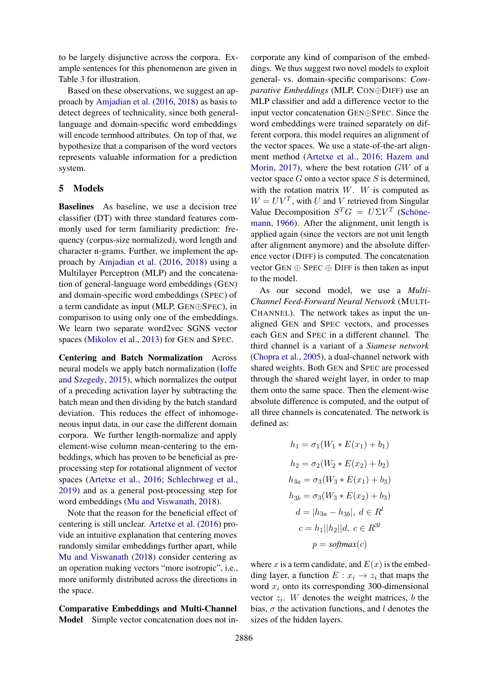to be largely disjunctive across the corpora. Example sentences for this phenomenon are given in Table [3](#page-4-0) for illustration.

Based on these observations, we suggest an approach by [Amjadian et al.](#page-5-9) [\(2016,](#page-5-9) [2018\)](#page-5-10) as basis to detect degrees of technicality, since both generallanguage and domain-specific word embeddings will encode termhood attributes. On top of that, we hypothesize that a comparison of the word vectors represents valuable information for a prediction system.

## 5 Models

Baselines As baseline, we use a decision tree classifier (DT) with three standard features commonly used for term familiarity prediction: frequency (corpus-size normalized), word length and character n-grams. Further, we implement the approach by [Amjadian et al.](#page-5-9) [\(2016,](#page-5-9) [2018\)](#page-5-10) using a Multilayer Perceptron (MLP) and the concatenation of general-language word embeddings (GEN) and domain-specific word embeddings (SPEC) of a term candidate as input (MLP, GEN⊕SPEC), in comparison to using only one of the embeddings. We learn two separate word2vec SGNS vector spaces [\(Mikolov et al.,](#page-6-10) [2013\)](#page-6-10) for GEN and SPEC.

Centering and Batch Normalization Across neural models we apply batch normalization [\(Ioffe](#page-5-18) [and Szegedy,](#page-5-18) [2015\)](#page-5-18), which normalizes the output of a preceding activation layer by subtracting the batch mean and then dividing by the batch standard deviation. This reduces the effect of inhomogeneous input data, in our case the different domain corpora. We further length-normalize and apply element-wise column mean-centering to the embeddings, which has proven to be beneficial as preprocessing step for rotational alignment of vector spaces [\(Artetxe et al.,](#page-5-19) [2016;](#page-5-19) [Schlechtweg et al.,](#page-6-7) [2019\)](#page-6-7) and as a general post-processing step for word embeddings [\(Mu and Viswanath,](#page-6-11) [2018\)](#page-6-11).

Note that the reason for the beneficial effect of centering is still unclear. [Artetxe et al.](#page-5-19) [\(2016\)](#page-5-19) provide an intuitive explanation that centering moves randomly similar embeddings further apart, while [Mu and Viswanath](#page-6-11) [\(2018\)](#page-6-11) consider centering as an operation making vectors "more isotropic", i.e., more uniformly distributed across the directions in the space.

Comparative Embeddings and Multi-Channel Model Simple vector concatenation does not in-

corporate any kind of comparison of the embeddings. We thus suggest two novel models to exploit general- vs. domain-specific comparisons: *Comparative Embeddings* (MLP, CON⊕DIFF) use an MLP classifier and add a difference vector to the input vector concatenation GEN⊕SPEC. Since the word embeddings were trained separately on different corpora, this model requires an alignment of the vector spaces. We use a state-of-the-art alignment method [\(Artetxe et al.,](#page-5-19) [2016;](#page-5-19) [Hazem and](#page-5-11) [Morin,](#page-5-11) [2017\)](#page-5-11), where the best rotation GW of a vector space  $G$  onto a vector space  $S$  is determined, with the rotation matrix  $W$ . W is computed as  $W = UV^T$ , with U and V retrieved from Singular Value Decomposition  $S^T G = U \Sigma V^T$  (Schöne[mann,](#page-6-12) [1966\)](#page-6-12). After the alignment, unit length is applied again (since the vectors are not unit length after alignment anymore) and the absolute difference vector (DIFF) is computed. The concatenation vector GEN  $\oplus$  SPEC  $\oplus$  DIFF is then taken as input to the model.

As our second model, we use a *Multi-Channel Feed-Forward Neural Network* (MULTI-CHANNEL). The network takes as input the unaligned GEN and SPEC vectors, and processes each GEN and SPEC in a different channel. The third channel is a variant of a *Siamese network* [\(Chopra et al.,](#page-5-20) [2005\)](#page-5-20), a dual-channel network with shared weights. Both GEN and SPEC are processed through the shared weight layer, in order to map them onto the same space. Then the element-wise absolute difference is computed, and the output of all three channels is concatenated. The network is defined as:

$$
h_1 = \sigma_1(W_1 * E(x_1) + b_1)
$$
  
\n
$$
h_2 = \sigma_2(W_2 * E(x_2) + b_2)
$$
  
\n
$$
h_{3a} = \sigma_3(W_3 * E(x_1) + b_3)
$$
  
\n
$$
h_{3b} = \sigma_3(W_3 * E(x_2) + b_3)
$$
  
\n
$$
d = |h_{3a} - h_{3b}|, d \in R^l
$$
  
\n
$$
c = h_1||h_2||d, c \in R^{3l}
$$
  
\n
$$
p = softmax(c)
$$

where x is a term candidate, and  $E(x)$  is the embedding layer, a function  $E: x_i \to z_i$  that maps the word  $x_i$  onto its corresponding 300-dimensional vector  $z_i$ . W denotes the weight matrices, b the bias,  $\sigma$  the activation functions, and l denotes the sizes of the hidden layers.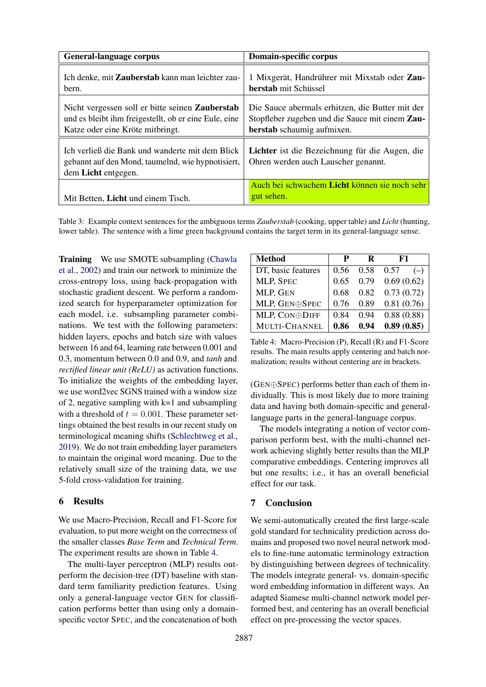<span id="page-4-0"></span>

| <b>General-language corpus</b>                                                                                                                      | Domain-specific corpus                                                                                                           |  |  |
|-----------------------------------------------------------------------------------------------------------------------------------------------------|----------------------------------------------------------------------------------------------------------------------------------|--|--|
| Ich denke, mit Zauberstab kann man leichter zau-<br>bern.                                                                                           | 1 Mixgerät, Handrührer mit Mixstab oder Zau-<br><b>berstab</b> mit Schüssel                                                      |  |  |
| Nicht vergessen soll er bitte seinen <b>Zauberstab</b><br>und es bleibt ihm freigestellt, ob er eine Eule, eine<br>Katze oder eine Kröte mitbringt. | Die Sauce abermals erhitzen, die Butter mit der<br>Stopfleber zugeben und die Sauce mit einem Zau-<br>berstab schaumig aufmixen. |  |  |
| Ich verließ die Bank und wanderte mit dem Blick<br>gebannt auf den Mond, taumelnd, wie hypnotisiert,<br>dem Licht entgegen.                         | Lichter ist die Bezeichnung für die Augen, die<br>Ohren werden auch Lauscher genannt.                                            |  |  |
| Mit Betten, Licht und einem Tisch.                                                                                                                  | Auch bei schwachem Licht können sie noch sehr<br>gut sehen.                                                                      |  |  |

Table 3: Example context sentences for the ambiguous terms *Zauberstab* (cooking, upper table) and *Licht* (hunting, lower table). The sentence with a lime green background contains the target term in its general-language sense.

Training We use SMOTE subsampling [\(Chawla](#page-5-21) [et al.,](#page-5-21) [2002\)](#page-5-21) and train our network to minimize the cross-entropy loss, using back-propagation with stochastic gradient descent. We perform a randomized search for hyperparameter optimization for each model, i.e. subsampling parameter combinations. We test with the following parameters: hidden layers, epochs and batch size with values between 16 and 64, learning rate between 0.001 and 0.3, momentum between 0.0 and 0.9, and *tanh* and *rectified linear unit (ReLU)* as activation functions. To initialize the weights of the embedding layer, we use word2vec SGNS trained with a window size of 2, negative sampling with  $k=1$  and subsampling with a threshold of  $t = 0.001$ . These parameter settings obtained the best results in our recent study on terminological meaning shifts [\(Schlechtweg et al.,](#page-6-7) [2019\)](#page-6-7). We do not train embedding layer parameters to maintain the original word meaning. Due to the relatively small size of the training data, we use 5-fold cross-validation for training.

#### 6 Results

We use Macro-Precision, Recall and F1-Score for evaluation, to put more weight on the correctness of the smaller classes *Base Term* and *Technical Term*. The experiment results are shown in Table [4.](#page-4-1)

The multi-layer perceptron (MLP) results outperform the decision-tree (DT) baseline with standard term familiarity prediction features. Using only a general-language vector GEN for classification performs better than using only a domainspecific vector SPEC, and the concatenation of both

<span id="page-4-1"></span>

| Method             | р    | R    | F1            |
|--------------------|------|------|---------------|
| DT, basic features | 0.56 | 0.58 | 0.57<br>$(-)$ |
| MLP, SPEC          | 0.65 | 0.79 | 0.69(0.62)    |
| MLP, GEN           | 0.68 | 0.82 | 0.73(0.72)    |
| MLP, GEN⊕SPEC      | 0.76 | 0.89 | 0.81(0.76)    |
| MLP, CON⊕DIFF      | 0.84 | 0.94 | 0.88(0.88)    |
| MULTI-CHANNEL      | 0.86 | 0.94 | 0.89(0.85)    |

Table 4: Macro-Precision (P), Recall (R) and F1-Score results. The main results apply centering and batch normalization; results without centering are in brackets.

(GEN⊕SPEC) performs better than each of them individually. This is most likely due to more training data and having both domain-specific and generallanguage parts in the general-language corpus.

The models integrating a notion of vector comparison perform best, with the multi-channel network achieving slightly better results than the MLP comparative embeddings. Centering improves all but one results; i.e., it has an overall beneficial effect for our task.

# 7 Conclusion

We semi-automatically created the first large-scale gold standard for technicality prediction across domains and proposed two novel neural network models to fine-tune automatic terminology extraction by distinguishing between degrees of technicality. The models integrate general- vs. domain-specific word embedding information in different ways. An adapted Siamese multi-channel network model performed best, and centering has an overall beneficial effect on pre-processing the vector spaces.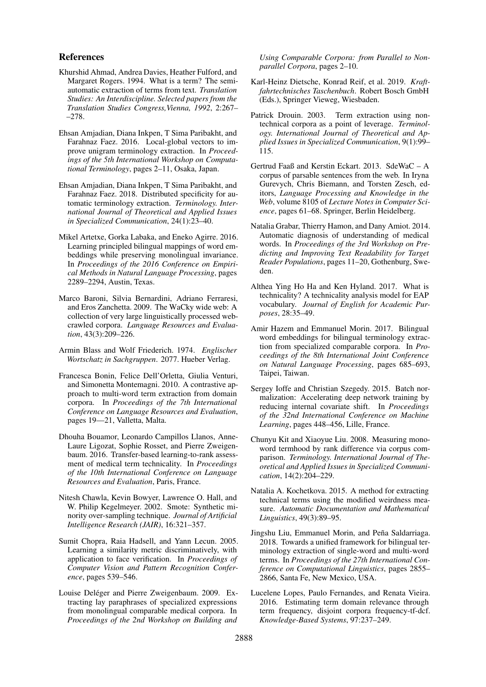#### References

- <span id="page-5-3"></span>Khurshid Ahmad, Andrea Davies, Heather Fulford, and Margaret Rogers. 1994. What is a term? The semiautomatic extraction of terms from text. *Translation Studies: An Interdiscipline. Selected papers from the Translation Studies Congress,Vienna, 1992*, 2:267– –278.
- <span id="page-5-9"></span>Ehsan Amjadian, Diana Inkpen, T Sima Paribakht, and Farahnaz Faez. 2016. Local-global vectors to improve unigram terminology extraction. In *Proceedings of the 5th International Workshop on Computational Terminology*, pages 2–11, Osaka, Japan.
- <span id="page-5-10"></span>Ehsan Amjadian, Diana Inkpen, T Sima Paribakht, and Farahnaz Faez. 2018. Distributed specificity for automatic terminology extraction. *Terminology. International Journal of Theoretical and Applied Issues in Specialized Communication*, 24(1):23–40.
- <span id="page-5-19"></span>Mikel Artetxe, Gorka Labaka, and Eneko Agirre. 2016. Learning principled bilingual mappings of word embeddings while preserving monolingual invariance. In *Proceedings of the 2016 Conference on Empirical Methods in Natural Language Processing*, pages 2289–2294, Austin, Texas.
- <span id="page-5-15"></span>Marco Baroni, Silvia Bernardini, Adriano Ferraresi, and Eros Zanchetta. 2009. The WaCky wide web: A collection of very large linguistically processed webcrawled corpora. *Language Resources and Evaluation*, 43(3):209–226.
- <span id="page-5-17"></span>Armin Blass and Wolf Friederich. 1974. *Englischer Wortschatz in Sachgruppen*. 2077. Hueber Verlag.
- <span id="page-5-6"></span>Francesca Bonin, Felice Dell'Orletta, Giulia Venturi, and Simonetta Montemagni. 2010. A contrastive approach to multi-word term extraction from domain corpora. In *Proceedings of the 7th International Conference on Language Resources and Evaluation*, pages 19––21, Valletta, Malta.
- <span id="page-5-2"></span>Dhouha Bouamor, Leonardo Campillos Llanos, Anne-Laure Ligozat, Sophie Rosset, and Pierre Zweigenbaum. 2016. Transfer-based learning-to-rank assessment of medical term technicality. In *Proceedings of the 10th International Conference on Language Resources and Evaluation*, Paris, France.
- <span id="page-5-21"></span>Nitesh Chawla, Kevin Bowyer, Lawrence O. Hall, and W. Philip Kegelmeyer. 2002. Smote: Synthetic minority over-sampling technique. *Journal of Artificial Intelligence Research (JAIR)*, 16:321–357.
- <span id="page-5-20"></span>Sumit Chopra, Raia Hadsell, and Yann Lecun. 2005. Learning a similarity metric discriminatively, with application to face verification. In *Proceedings of Computer Vision and Pattern Recognition Conference*, pages 539–546.
- <span id="page-5-1"></span>Louise Deléger and Pierre Zweigenbaum. 2009. Extracting lay paraphrases of specialized expressions from monolingual comparable medical corpora. In *Proceedings of the 2nd Workshop on Building and*

*Using Comparable Corpora: from Parallel to Nonparallel Corpora*, pages 2–10.

- <span id="page-5-16"></span>Karl-Heinz Dietsche, Konrad Reif, et al. 2019. *Kraftfahrtechnisches Taschenbuch*. Robert Bosch GmbH (Eds.), Springer Vieweg, Wiesbaden.
- <span id="page-5-4"></span>Patrick Drouin. 2003. Term extraction using nontechnical corpora as a point of leverage. *Terminology. International Journal of Theoretical and Applied Issues in Specialized Communication*, 9(1):99– 115.
- <span id="page-5-14"></span>Gertrud Faaß and Kerstin Eckart. 2013. SdeWaC – A corpus of parsable sentences from the web. In Iryna Gurevych, Chris Biemann, and Torsten Zesch, editors, *Language Processing and Knowledge in the Web*, volume 8105 of *Lecture Notes in Computer Science*, pages 61–68. Springer, Berlin Heidelberg.
- <span id="page-5-0"></span>Natalia Grabar, Thierry Hamon, and Dany Amiot. 2014. Automatic diagnosis of understanding of medical words. In *Proceedings of the 3rd Workshop on Predicting and Improving Text Readability for Target Reader Populations*, pages 11–20, Gothenburg, Sweden.
- <span id="page-5-13"></span>Althea Ying Ho Ha and Ken Hyland. 2017. What is technicality? A technicality analysis model for EAP vocabulary. *Journal of English for Academic Purposes*, 28:35–49.
- <span id="page-5-11"></span>Amir Hazem and Emmanuel Morin. 2017. Bilingual word embeddings for bilingual terminology extraction from specialized comparable corpora. In *Proceedings of the 8th International Joint Conference on Natural Language Processing*, pages 685–693, Taipei, Taiwan.
- <span id="page-5-18"></span>Sergey Ioffe and Christian Szegedy. 2015. Batch normalization: Accelerating deep network training by reducing internal covariate shift. In *Proceedings of the 32nd International Conference on Machine Learning*, pages 448–456, Lille, France.
- <span id="page-5-5"></span>Chunyu Kit and Xiaoyue Liu. 2008. Measuring monoword termhood by rank difference via corpus comparison. *Terminology. International Journal of Theoretical and Applied Issues in Specialized Communication*, 14(2):204–229.
- <span id="page-5-7"></span>Natalia A. Kochetkova. 2015. A method for extracting technical terms using the modified weirdness measure. *Automatic Documentation and Mathematical Linguistics*, 49(3):89–95.
- <span id="page-5-12"></span>Jingshu Liu, Emmanuel Morin, and Peña Saldarriaga. 2018. Towards a unified framework for bilingual terminology extraction of single-word and multi-word terms. In *Proceedings of the 27th International Conference on Computational Linguistics*, pages 2855– 2866, Santa Fe, New Mexico, USA.
- <span id="page-5-8"></span>Lucelene Lopes, Paulo Fernandes, and Renata Vieira. 2016. Estimating term domain relevance through term frequency, disjoint corpora frequency-tf-dcf. *Knowledge-Based Systems*, 97:237–249.